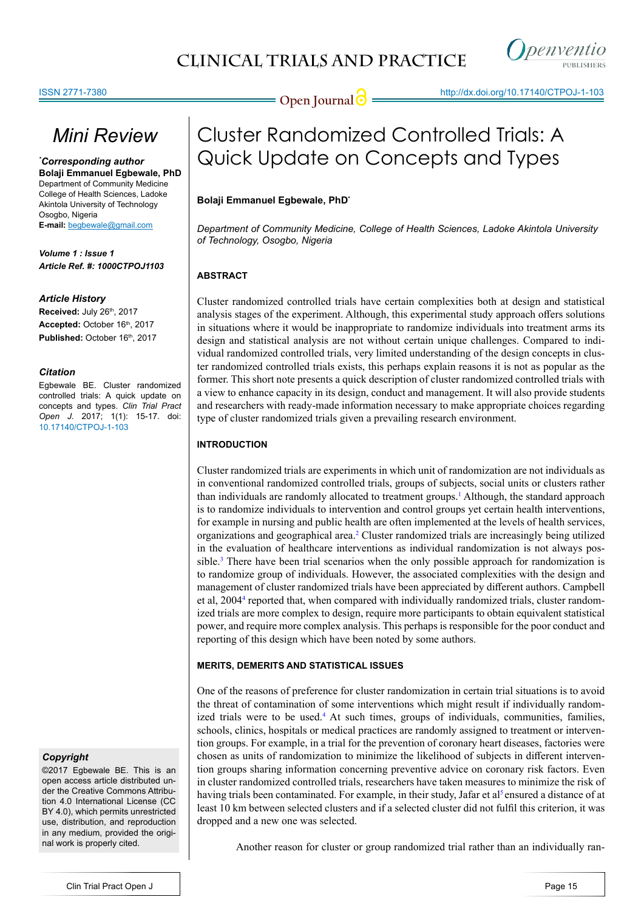# *Mini Review*

*\* Corresponding author* **Bolaji Emmanuel Egbewale, PhD**  Department of Community Medicine College of Health Sciences, Ladoke Akintola University of Technology Osogbo, Nigeria **E-mail:** begbewale@gmail.com

*Volume 1 : Issue 1 Article Ref. #: 1000CTPOJ1103*

#### *Article History*

**Received: July 26th, 2017** Accepted: October 16<sup>th</sup>, 2017 Published: October 16th, 2017

#### *Citation*

Egbewale BE. Cluster randomized controlled trials: A quick update on concepts and types. *Clin Trial Pract Open J*. 2017; 1(1): 15-17. doi: [10.17140/CTPOJ-1-103](http://dx.doi.org/10.17140/CTPOJ-1-103)

# *Copyright*

©2017 Egbewale BE. This is an open access article distributed under the Creative Commons Attribution 4.0 International License (CC BY 4.0), which permits unrestricted use, distribution, and reproduction in any medium, provided the original work is properly cited.

# Cluster Randomized Controlled Trials: A Quick Update on Concepts and Types

**Open Journal @** http://dx.doi.org[/10.17140/CTPOJ-1-103](http://dx.doi.org/10.17140/CTPOJ-1-103)

# **Bolaji Emmanuel Egbewale, PhD\***

*Department of Community Medicine, College of Health Sciences, Ladoke Akintola University of Technology, Osogbo, Nigeria*

# **ABSTRACT**

Cluster randomized controlled trials have certain complexities both at design and statistical analysis stages of the experiment. Although, this experimental study approach offers solutions in situations where it would be inappropriate to randomize individuals into treatment arms its design and statistical analysis are not without certain unique challenges. Compared to individual randomized controlled trials, very limited understanding of the design concepts in cluster randomized controlled trials exists, this perhaps explain reasons it is not as popular as the former. This short note presents a quick description of cluster randomized controlled trials with a view to enhance capacity in its design, conduct and management. It will also provide students and researchers with ready-made information necessary to make appropriate choices regarding type of cluster randomized trials given a prevailing research environment.

# **INTRODUCTION**

Cluster randomized trials are experiments in which unit of randomization are not individuals as in conventional randomized controlled trials, groups of subjects, social units or clusters rather than individuals are randomly allocated to treatment groups.<sup>[1](#page-2-0)</sup> Although, the standard approach is to randomize individuals to intervention and control groups yet certain health interventions, for example in nursing and public health are often implemented at the levels of health services, organizations and geographical area.<sup>[2](#page-2-1)</sup> Cluster randomized trials are increasingly being utilized in the evaluation of healthcare interventions as individual randomization is not always possible. $3$  There have been trial scenarios when the only possible approach for randomization is to randomize group of individuals. However, the associated complexities with the design and management of cluster randomized trials have been appreciated by different authors. Campbell et al, 2004<sup>4</sup> reported that, when compared with individually randomized trials, cluster randomized trials are more complex to design, require more participants to obtain equivalent statistical power, and require more complex analysis. This perhaps is responsible for the poor conduct and reporting of this design which have been noted by some authors.

# **MERITS, DEMERITS AND STATISTICAL ISSUES**

One of the reasons of preference for cluster randomization in certain trial situations is to avoid the threat of contamination of some interventions which might result if individually randomized trials were to be used.<sup>4</sup> At such times, groups of individuals, communities, families, schools, clinics, hospitals or medical practices are randomly assigned to treatment or intervention groups. For example, in a trial for the prevention of coronary heart diseases, factories were chosen as units of randomization to minimize the likelihood of subjects in different intervention groups sharing information concerning preventive advice on coronary risk factors. Even in cluster randomized controlled trials, researchers have taken measures to minimize the risk of having trials been contaminated. For example, in their study, Jafar et al<sup>5</sup> ensured a distance of at least 10 km between selected clusters and if a selected cluster did not fulfil this criterion, it was dropped and a new one was selected.

Another reason for cluster or group randomized trial rather than an individually ran-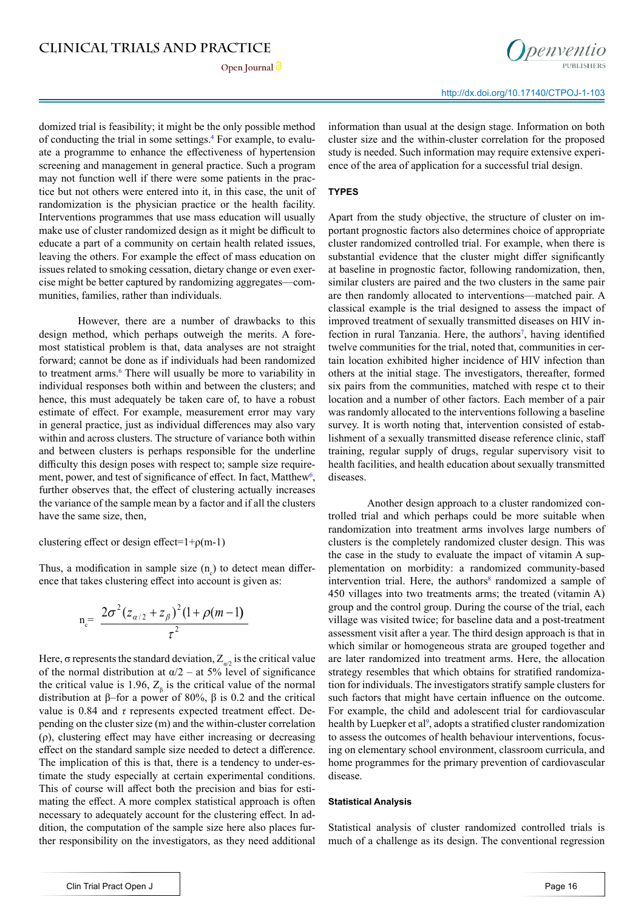domized trial is feasibility; it might be the only possible method of conducting the trial in some settings.<sup>4</sup> For example, to evaluate a programme to enhance the effectiveness of hypertension screening and management in general practice. Such a program may not function well if there were some patients in the practice but not others were entered into it, in this case, the unit of randomization is the physician practice or the health facility. Interventions programmes that use mass education will usually make use of cluster randomized design as it might be difficult to educate a part of a community on certain health related issues, leaving the others. For example the effect of mass education on issues related to smoking cessation, dietary change or even exercise might be better captured by randomizing aggregates—communities, families, rather than individuals.

However, there are a number of drawbacks to this design method, which perhaps outweigh the merits. A foremost statistical problem is that, data analyses are not straight forward; cannot be done as if individuals had been randomized to treatment arms.<sup>[6](#page-2-5)</sup> There will usually be more to variability in individual responses both within and between the clusters; and hence, this must adequately be taken care of, to have a robust estimate of effect. For example, measurement error may vary in general practice, just as individual differences may also vary within and across clusters. The structure of variance both within and between clusters is perhaps responsible for the underline difficulty this design poses with respect to; sample size require-ment, power, and test of significance of effect. In fact, Matthew<sup>[6](#page-2-5)</sup>, further observes that, the effect of clustering actually increases the variance of the sample mean by a factor and if all the clusters have the same size, then,

clustering effect or design effect= $1+p(m-1)$ 

Thus, a modification in sample size  $(n<sub>c</sub>)$  to detect mean difference that takes clustering effect into account is given as:

$$
n_{c} = \frac{2\sigma^{2}(z_{\alpha/2} + z_{\beta})^{2}(1 + \rho(m-1))}{\tau^{2}}
$$

Here,  $\sigma$  represents the standard deviation,  $Z_{a/2}$  is the critical value of the normal distribution at  $\alpha/2$  – at 5% level of significance the critical value is 1.96,  $Z_{\beta}$  is the critical value of the normal distribution at β–for a power of 80%, β is 0.2 and the critical value is 0.84 and *τ* represents expected treatment effect. Depending on the cluster size (m) and the within-cluster correlation (ρ), clustering effect may have either increasing or decreasing effect on the standard sample size needed to detect a difference. The implication of this is that, there is a tendency to under-estimate the study especially at certain experimental conditions. This of course will affect both the precision and bias for estimating the effect. A more complex statistical approach is often necessary to adequately account for the clustering effect. In addition, the computation of the sample size here also places further responsibility on the investigators, as they need additional

information than usual at the design stage. Information on both cluster size and the within-cluster correlation for the proposed study is needed. Such information may require extensive experience of the area of application for a successful trial design.

#### **TYPES**

Apart from the study objective, the structure of cluster on important prognostic factors also determines choice of appropriate cluster randomized controlled trial. For example, when there is substantial evidence that the cluster might differ significantly at baseline in prognostic factor, following randomization, then, similar clusters are paired and the two clusters in the same pair are then randomly allocated to interventions—matched pair. A classical example is the trial designed to assess the impact of improved treatment of sexually transmitted diseases on HIV in-fection in rural Tanzania. Here, the authors<sup>[7](#page-2-6)</sup>, having identified twelve communities for the trial, noted that, communities in certain location exhibited higher incidence of HIV infection than others at the initial stage. The investigators, thereafter, formed six pairs from the communities, matched with respe ct to their location and a number of other factors. Each member of a pair was randomly allocated to the interventions following a baseline survey. It is worth noting that, intervention consisted of establishment of a sexually transmitted disease reference clinic, staff training, regular supply of drugs, regular supervisory visit to health facilities, and health education about sexually transmitted diseases.

Another design approach to a cluster randomized controlled trial and which perhaps could be more suitable when randomization into treatment arms involves large numbers of clusters is the completely randomized cluster design. This was the case in the study to evaluate the impact of vitamin A supplementation on morbidity: a randomized community-based intervention trial. Here, the authors<sup>[8](#page-2-7)</sup> randomized a sample of 450 villages into two treatments arms; the treated (vitamin A) group and the control group. During the course of the trial, each village was visited twice; for baseline data and a post-treatment assessment visit after a year. The third design approach is that in which similar or homogeneous strata are grouped together and are later randomized into treatment arms. Here, the allocation strategy resembles that which obtains for stratified randomization for individuals. The investigators stratify sample clusters for such factors that might have certain influence on the outcome. For example, the child and adolescent trial for cardiovascular health by Luepker et al<sup>[9](#page-2-8)</sup>, adopts a stratified cluster randomization to assess the outcomes of health behaviour interventions, focusing on elementary school environment, classroom curricula, and home programmes for the primary prevention of cardiovascular disease.

#### **Statistical Analysis**

Statistical analysis of cluster randomized controlled trials is much of a challenge as its design. The conventional regression